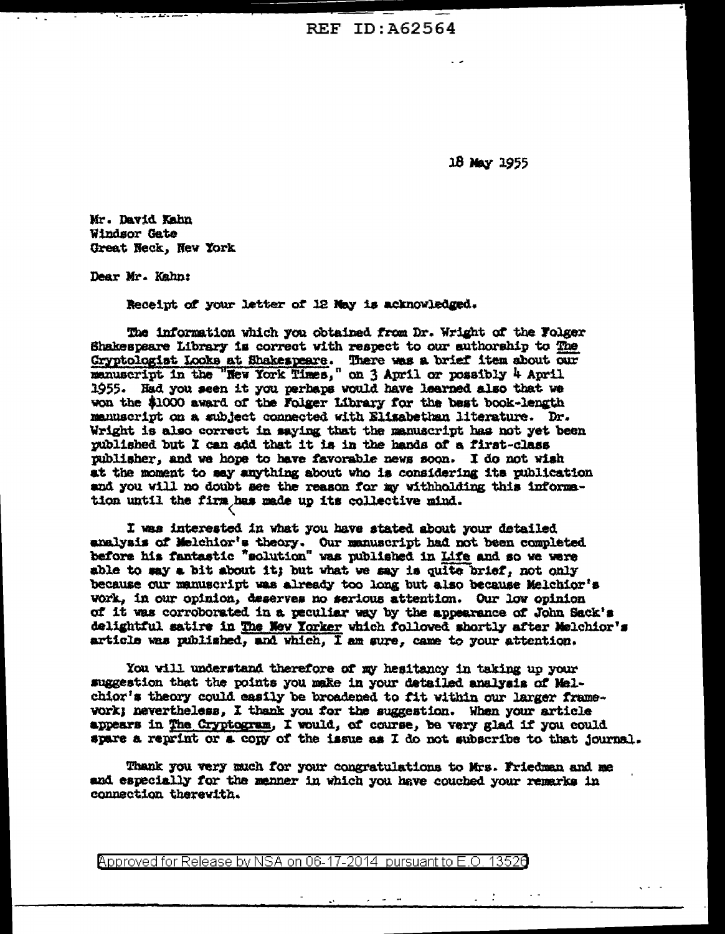REF ID: A62564

18 May 1955

Mr. David Kahn Windsor Gate Great Neck, New York

Dear Mr. Kahn:

Receipt of your letter of 12 May is acknowledged.

The information which you obtained from Dr. Wright of the Folger Shakespeare Library is correct with respect to our authorship to The Cryptologist Looks at Shakespeare. There was a brief item about our manuscript in the "New York Times," on  $3$  April or possibly  $4$  April 1955. Had you seen it you perhaps would have learned also that we won the \$1000 award of the Folger Library for the best book-length manuscript on a subject connected with Elizabethan literature. Dr. Wright is also correct in saying that the manuscript has not yet been published but I can add that it is in the hands of a first-class publisher, and we hope to have favorable news soon. I do not wish at the moment to say anything about who is considering its publication and you will no doubt see the reason for my withholding this information until the firm has made up its collective mind.

I was interested in what you have stated about your detailed analysis of Melchior's theory. Our manuscript had not been completed before his fantastic "solution" was published in Life and so we were able to may a bit about it; but what we say is quite brief, not only because our manuscript was already too long but also because Melchior's work, in our opinion, deserves no serious attention. Our low opinion of it was corroborated in a peculiar way by the appearance of John Sack's delightful satire in The New Yorker which followed shortly after Melchior's article was published, and which, I am sure, came to your attention.

You will understand therefore of my hesitancy in taking up your suggestion that the points you make in your detailed analysis of Melchior's theory could easily be broadened to fit within our larger framevork; nevertheless, I thank you for the suggestion. When your article appears in The Cryptogram, I would, of course, be very glad if you could spare a reprint or a copy of the issue as I do not subscribe to that journal.

Thank you very much for your congratulations to Mrs. Friedman and me and especially for the menner in which you have couched your remarks in connection therewith.

**Approved for Release by NSA on 06-17-2014 pursuant to E.O. 13526**